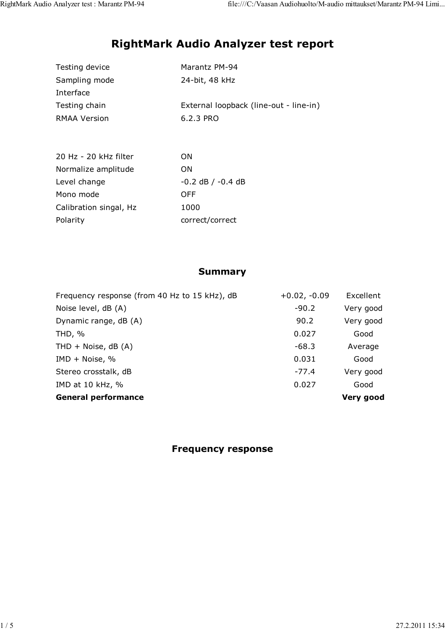# RightMark Audio Analyzer test report

| Testing device | Marantz PM-94                          |
|----------------|----------------------------------------|
| Sampling mode  | 24-bit, 48 kHz                         |
| Interface      |                                        |
| Testing chain  | External loopback (line-out - line-in) |
| RMAA Version   | 6.2.3 PRO                              |
|                |                                        |

| 20 Hz - 20 kHz filter  | OΝ                    |
|------------------------|-----------------------|
| Normalize amplitude    | OΝ                    |
| Level change           | $-0.2$ dB $/ -0.4$ dB |
| Mono mode              | OFF                   |
| Calibration singal, Hz | 1000                  |
| Polarity               | correct/correct       |

#### Summary

| Frequency response (from 40 Hz to 15 kHz), dB | $+0.02, -0.09$ | Excellent |
|-----------------------------------------------|----------------|-----------|
| Noise level, dB (A)                           | $-90.2$        | Very good |
| Dynamic range, dB (A)                         | 90.2           | Very good |
| THD, $%$                                      | 0.027          | Good      |
| THD $+$ Noise, dB (A)                         | $-68.3$        | Average   |
| IMD + Noise, $%$                              | 0.031          | Good      |
| Stereo crosstalk, dB                          | $-77.4$        | Very good |
| IMD at 10 kHz, %                              | 0.027          | Good      |
| <b>General performance</b>                    |                | Very good |

Frequency response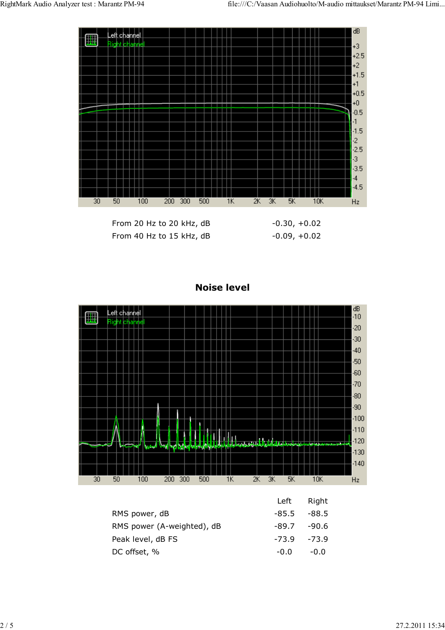



Noise level

|                            |             | .      |
|----------------------------|-------------|--------|
| RMS power, dB              | -85.5 -88.5 |        |
| RMS power (A-weighted), dB | -89.7       | -90.6  |
| Peak level, dB FS          | -73.9       | -73.9  |
| DC offset, %               | $-0.0$      | $-0.0$ |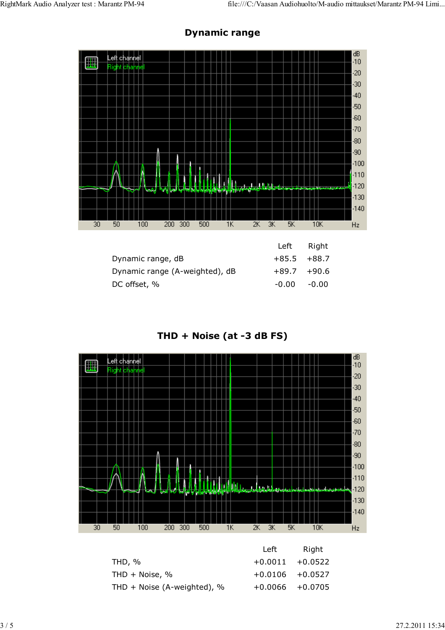

### Dynamic range

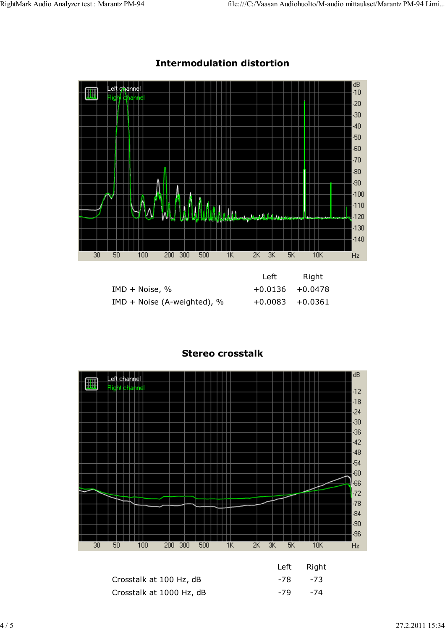

## Intermodulation distortion

|                               | Left               | Right |
|-------------------------------|--------------------|-------|
| $IMD + Noise, %$              | $+0.0136 + 0.0478$ |       |
| $IMD + Noise (A-weighted), %$ | $+0.0083 + 0.0361$ |       |



## Stereo crosstalk

| Crosstalk at 100 Hz, dB  | -78 -73 |
|--------------------------|---------|
| Crosstalk at 1000 Hz, dB | -79 -74 |